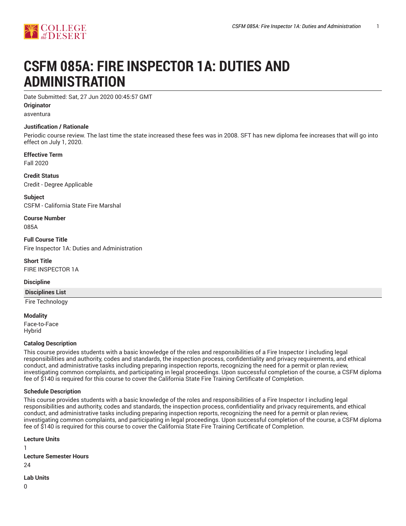

# **CSFM 085A: FIRE INSPECTOR 1A: DUTIES AND ADMINISTRATION**

Date Submitted: Sat, 27 Jun 2020 00:45:57 GMT

**Originator**

asventura

## **Justification / Rationale**

Periodic course review. The last time the state increased these fees was in 2008. SFT has new diploma fee increases that will go into effect on July 1, 2020.

**Effective Term** Fall 2020

**Credit Status** Credit - Degree Applicable

**Subject** CSFM - California State Fire Marshal

**Course Number** 085A

**Full Course Title** Fire Inspector 1A: Duties and Administration

**Short Title** FIRE INSPECTOR 1A

**Discipline**

**Disciplines List**

Fire Technology

**Modality** Face-to-Face Hybrid

## **Catalog Description**

This course provides students with a basic knowledge of the roles and responsibilities of a Fire Inspector I including legal responsibilities and authority, codes and standards, the inspection process, confidentiality and privacy requirements, and ethical conduct, and administrative tasks including preparing inspection reports, recognizing the need for a permit or plan review, investigating common complaints, and participating in legal proceedings. Upon successful completion of the course, a CSFM diploma fee of \$140 is required for this course to cover the California State Fire Training Certificate of Completion.

## **Schedule Description**

This course provides students with a basic knowledge of the roles and responsibilities of a Fire Inspector I including legal responsibilities and authority, codes and standards, the inspection process, confidentiality and privacy requirements, and ethical conduct, and administrative tasks including preparing inspection reports, recognizing the need for a permit or plan review, investigating common complaints, and participating in legal proceedings. Upon successful completion of the course, a CSFM diploma fee of \$140 is required for this course to cover the California State Fire Training Certificate of Completion.

| <b>Lecture Units</b>          |  |  |  |
|-------------------------------|--|--|--|
| ı                             |  |  |  |
| <b>Lecture Semester Hours</b> |  |  |  |
| 24                            |  |  |  |
|                               |  |  |  |

**Lab Units**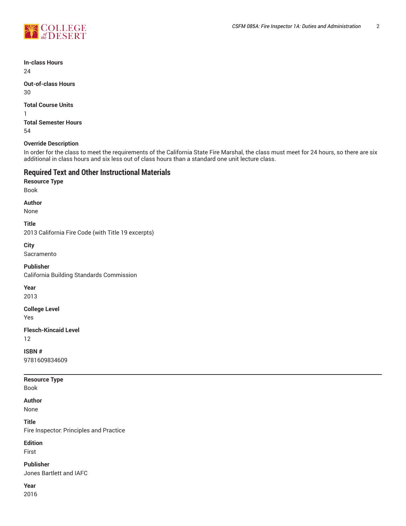

**In-class Hours**

24

**Out-of-class Hours** 30

**Total Course Units**

1 **Total Semester Hours** 54

# **Override Description**

In order for the class to meet the requirements of the California State Fire Marshal, the class must meet for 24 hours, so there are six additional in class hours and six less out of class hours than a standard one unit lecture class.

# **Required Text and Other Instructional Materials**

**Resource Type** Book

**Author**

None

**Title**

2013 California Fire Code (with Title 19 excerpts)

**City** Sacramento

**Publisher**

California Building Standards Commission

**Year**

2013

**College Level**

Yes

**Flesch-Kincaid Level**

12

**ISBN #** 9781609834609

**Resource Type**

Book

**Author**

None

**Title** Fire Inspector: Principles and Practice

**Edition**

First

**Publisher** Jones Bartlett and IAFC

**Year**

2016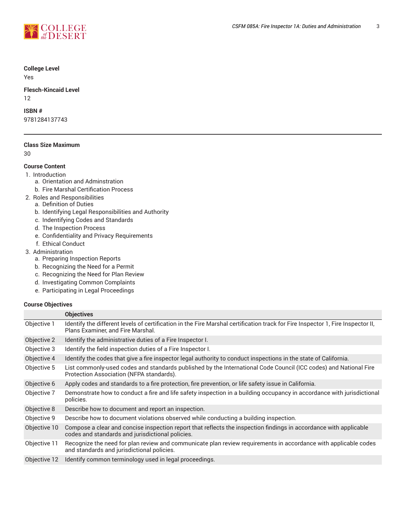

## **College Level**

Yes

**Flesch-Kincaid Level** 12

## **ISBN #**

9781284137743

## **Class Size Maximum**

30

## **Course Content**

- 1. Introduction
	- a. Orientation and Adminstration
	- b. Fire Marshal Certification Process
- 2. Roles and Responsibilities
- a. Definition of Duties
	- b. Identifying Legal Responsibilities and Authority
	- c. Indentifying Codes and Standards
	- d. The Inspection Process
	- e. Confidentiality and Privacy Requirements
	- f. Ethical Conduct
- 3. Administration
	- a. Preparing Inspection Reports
	- b. Recognizing the Need for a Permit
	- c. Recognizing the Need for Plan Review
	- d. Investigating Common Complaints
	- e. Participating in Legal Proceedings

## **Course Objectives**

|              | <b>Objectives</b>                                                                                                                                                     |  |  |
|--------------|-----------------------------------------------------------------------------------------------------------------------------------------------------------------------|--|--|
| Objective 1  | Identify the different levels of certification in the Fire Marshal certification track for Fire Inspector 1, Fire Inspector II,<br>Plans Examiner, and Fire Marshal.  |  |  |
| Objective 2  | Identify the administrative duties of a Fire Inspector I.                                                                                                             |  |  |
| Objective 3  | Identify the field inspection duties of a Fire Inspector I.                                                                                                           |  |  |
| Objective 4  | Identify the codes that give a fire inspector legal authority to conduct inspections in the state of California.                                                      |  |  |
| Objective 5  | List commonly-used codes and standards published by the International Code Council (ICC codes) and National Fire<br>Protection Association (NFPA standards).          |  |  |
| Objective 6  | Apply codes and standards to a fire protection, fire prevention, or life safety issue in California.                                                                  |  |  |
| Objective 7  | Demonstrate how to conduct a fire and life safety inspection in a building occupancy in accordance with jurisdictional<br>policies.                                   |  |  |
| Objective 8  | Describe how to document and report an inspection.                                                                                                                    |  |  |
| Objective 9  | Describe how to document violations observed while conducting a building inspection.                                                                                  |  |  |
| Objective 10 | Compose a clear and concise inspection report that reflects the inspection findings in accordance with applicable<br>codes and standards and jurisdictional policies. |  |  |
| Objective 11 | Recognize the need for plan review and communicate plan review requirements in accordance with applicable codes<br>and standards and jurisdictional policies.         |  |  |
| Objective 12 | Identify common terminology used in legal proceedings.                                                                                                                |  |  |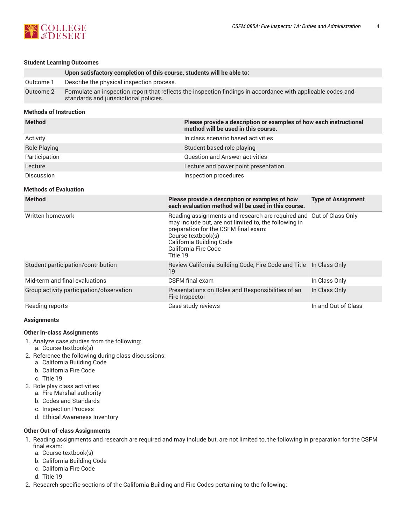

#### **Student Learning Outcomes**

|           | Upon satisfactory completion of this course, students will be able to:                                                                                 |
|-----------|--------------------------------------------------------------------------------------------------------------------------------------------------------|
| Outcome 1 | Describe the physical inspection process.                                                                                                              |
| Outcome 2 | Formulate an inspection report that reflects the inspection findings in accordance with applicable codes and<br>standards and jurisdictional policies. |

## **Methods of Instruction**

| <b>Method</b>       | Please provide a description or examples of how each instructional<br>method will be used in this course. |
|---------------------|-----------------------------------------------------------------------------------------------------------|
| Activity            | In class scenario based activities                                                                        |
| <b>Role Playing</b> | Student based role playing                                                                                |
| Participation       | <b>Question and Answer activities</b>                                                                     |
| Lecture             | Lecture and power point presentation                                                                      |
| Discussion          | Inspection procedures                                                                                     |

## **Methods of Evaluation**

| <b>Method</b>                            | Please provide a description or examples of how<br>each evaluation method will be used in this course.                                                                                                                                                     | <b>Type of Assignment</b> |
|------------------------------------------|------------------------------------------------------------------------------------------------------------------------------------------------------------------------------------------------------------------------------------------------------------|---------------------------|
| Written homework                         | Reading assignments and research are required and Out of Class Only<br>may include but, are not limited to, the following in<br>preparation for the CSFM final exam:<br>Course textbook(s)<br>California Building Code<br>California Fire Code<br>Title 19 |                           |
| Student participation/contribution       | Review California Building Code, Fire Code and Title In Class Only<br>19                                                                                                                                                                                   |                           |
| Mid-term and final evaluations           | CSFM final exam                                                                                                                                                                                                                                            | In Class Only             |
| Group activity participation/observation | Presentations on Roles and Responsibilities of an<br>Fire Inspector                                                                                                                                                                                        | In Class Only             |
| Reading reports                          | Case study reviews                                                                                                                                                                                                                                         | In and Out of Class       |

#### **Assignments**

## **Other In-class Assignments**

- 1. Analyze case studies from the following:
- a. Course textbook(s)
- 2. Reference the following during class discussions:
	- a. California Building Code
	- b. California Fire Code
	- c. Title 19
- 3. Role play class activities
	- a. Fire Marshal authority
	- b. Codes and Standards
	- c. Inspection Process
	- d. Ethical Awareness Inventory

## **Other Out-of-class Assignments**

- 1. Reading assignments and research are required and may include but, are not limited to, the following in preparation for the CSFM final exam:
	- a. Course textbook(s)
	- b. California Building Code
	- c. California Fire Code
	- d. Title 19
- 2. Research specific sections of the California Building and Fire Codes pertaining to the following: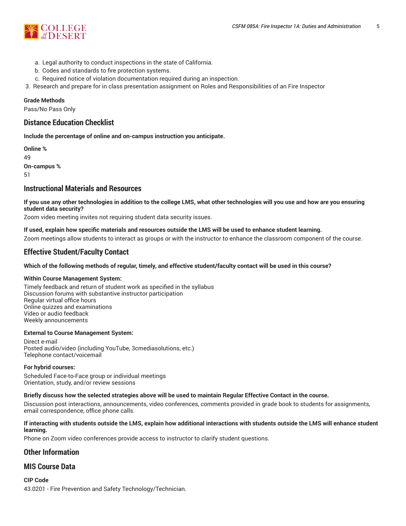

- a. Legal authority to conduct inspections in the state of California.
- b. Codes and standards to fire protection systems.
- c. Required notice of violation documentation required during an inspection.
- 3. Research and prepare for in class presentation assignment on Roles and Responsibilities of an Fire Inspector

## **Grade Methods**

Pass/No Pass Only

# **Distance Education Checklist**

**Include the percentage of online and on-campus instruction you anticipate.**

**Online %** 49 **On-campus %** 51

# **Instructional Materials and Resources**

If you use any other technologies in addition to the college LMS, what other technologies will you use and how are you ensuring **student data security?**

Zoom video meeting invites not requiring student data security issues.

## **If used, explain how specific materials and resources outside the LMS will be used to enhance student learning.**

Zoom meetings allow students to interact as groups or with the instructor to enhance the classroom component of the course.

# **Effective Student/Faculty Contact**

## Which of the following methods of regular, timely, and effective student/faculty contact will be used in this course?

#### **Within Course Management System:**

Timely feedback and return of student work as specified in the syllabus Discussion forums with substantive instructor participation Regular virtual office hours Online quizzes and examinations Video or audio feedback Weekly announcements

#### **External to Course Management System:**

Direct e-mail Posted audio/video (including YouTube, 3cmediasolutions, etc.) Telephone contact/voicemail

## **For hybrid courses:**

Scheduled Face-to-Face group or individual meetings Orientation, study, and/or review sessions

#### Briefly discuss how the selected strategies above will be used to maintain Regular Effective Contact in the course.

Discussion post interactions, announcements, video conferences, comments provided in grade book to students for assignments, email correspondence, office phone calls.

### **If interacting with students outside the LMS, explain how additional interactions with students outside the LMS will enhance student learning.**

Phone on Zoom video conferences provide access to instructor to clarify student questions.

# **Other Information**

## **MIS Course Data**

**CIP Code** 43.0201 - Fire Prevention and Safety Technology/Technician.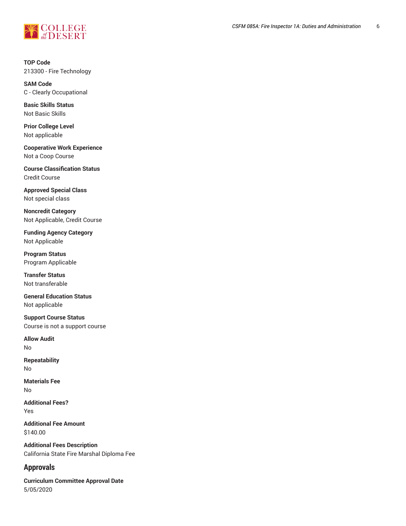

**TOP Code** 213300 - Fire Technology

**SAM Code** C - Clearly Occupational

**Basic Skills Status** Not Basic Skills

**Prior College Level** Not applicable

**Cooperative Work Experience** Not a Coop Course

**Course Classification Status** Credit Course

**Approved Special Class** Not special class

**Noncredit Category** Not Applicable, Credit Course

**Funding Agency Category** Not Applicable

**Program Status** Program Applicable

**Transfer Status** Not transferable

**General Education Status** Not applicable

**Support Course Status** Course is not a support course

**Allow Audit** No

**Repeatability** No

**Materials Fee** No

**Additional Fees?** Yes

**Additional Fee Amount** \$140.00

**Additional Fees Description** California State Fire Marshal Diploma Fee

# **Approvals**

**Curriculum Committee Approval Date** 5/05/2020